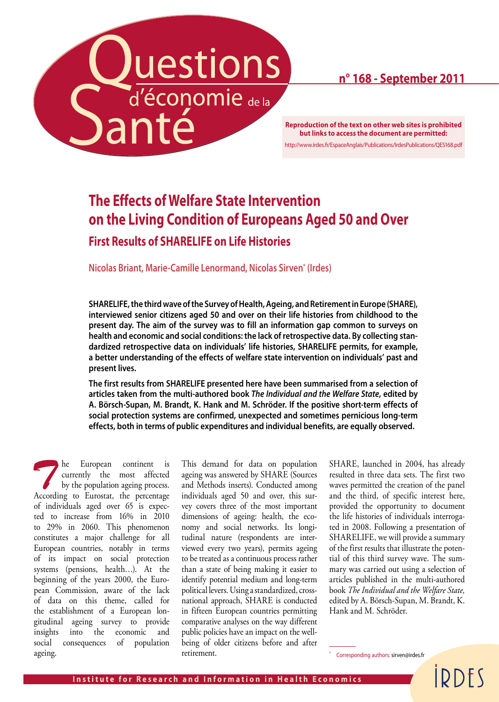

# **n° 168 - September 2011**

**but links to access the document are permitted:** http://www.irdes.fr/EspaceAnglais/Publications/IrdesPublications/QES168.pdf

# **The Effects of Welfare State Intervention on the Living Condition of Europeans Aged 50 and Over**

**First Results of SHARELIFE on Life Histories** 

**Nicolas Briant, Marie-Camille Lenormand, Nicolas Sirven\* (Irdes)**

**SHARELIFE, the third wave of the Survey of Health, Ageing, and Retirement in Europe (SHARE), interviewed senior citizens aged 50 and over on their life histories from childhood to the present day. The aim of the survey was to fill an information gap common to surveys on health and economic and social conditions: the lack of retrospective data. By collecting standardized retrospective data on individuals' life histories, SHARELIFE permits, for example, a better understanding of the effects of welfare state intervention on individuals' past and present lives.** 

**The first results from SHARELIFE presented here have been summarised from a selection of articles taken from the multi-authored book** *The Individual and the Welfare State***, edited by A. Börsch-Supan, M. Brandt, K. Hank and M. Schröder. If the positive short-term effects of social protection systems are confirmed, unexpected and sometimes pernicious long-term effects, both in terms of public expenditures and individual benefits, are equally observed.**

**The European continent is**<br>
by the population ageing process.<br>
According to Eurostat the percentage currently the most affected According to Eurostat, the percentage of individuals aged over 65 is expected to increase from 16% in 2010 to 29% in 2060. This phenomenon constitutes a major challenge for all European countries, notably in terms of its impact on social protection systems (pensions, health…). At the beginning of the years 2000, the European Commission, aware of the lack of data on this theme, called for the establishment of a European longitudinal ageing survey to provide insights into the economic and social consequences of population ageing.

This demand for data on population ageing was answered by SHARE (Sources and Methods inserts). Conducted among individuals aged 50 and over, this survey covers three of the most important dimensions of ageing: health, the economy and social networks. Its longitudinal nature (respondents are interviewed every two years), permits ageing to be treated as a continuous process rather than a state of being making it easier to identify potential medium and long-term political levers. Using a standardized, crossnational approach, SHARE is conducted in fifteen European countries permitting comparative analyses on the way different public policies have an impact on the wellbeing of older citizens before and after retirement.

SHARE, launched in 2004, has already resulted in three data sets. The first two waves permitted the creation of the panel and the third, of specific interest here, provided the opportunity to document the life histories of individuals interrogated in 2008. Following a presentation of SHARELIFE, we will provide a summary of the first results that illustrate the potential of this third survey wave. The summary was carried out using a selection of articles published in the multi-authored book *The Individual and the Welfare State,* edited by A. Börsch-Supan, M. Brandt, K. Hank and M. Schröder.

Corresponding authors: sirven@irdes.fr

IDDFS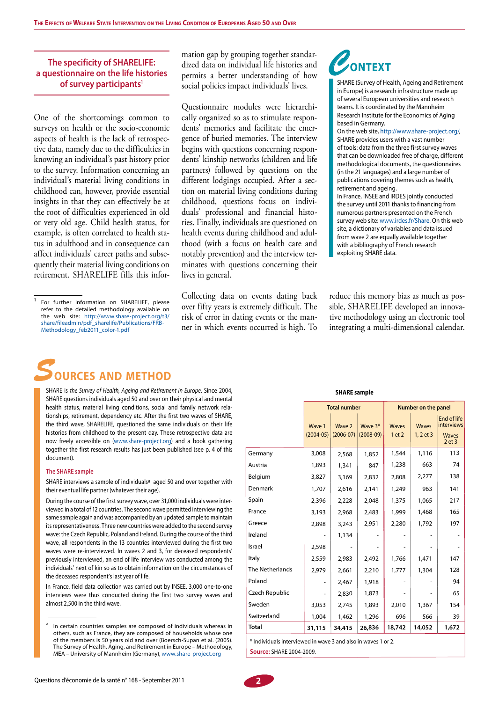### **The specificity of SHARELIFE: a questionnaire on the life histories of survey participants1**

One of the shortcomings common to surveys on health or the socio-economic aspects of health is the lack of retrospective data, namely due to the difficulties in knowing an individual's past history prior to the survey. Information concerning an individual's material living conditions in childhood can, however, provide essential insights in that they can effectively be at the root of difficulties experienced in old or very old age. Child health status, for example, is often correlated to health status in adulthood and in consequence can affect individuals' career paths and subsequently their material living conditions on retirement. SHARELIFE fills this information gap by grouping together standardized data on individual life histories and permits a better understanding of how social policies impact individuals' lives.

Questionnaire modules were hierarchically organized so as to stimulate respondents' memories and facilitate the emergence of buried memories. The interview begins with questions concerning respondents' kinship networks (children and life partners) followed by questions on the different lodgings occupied. After a section on material living conditions during childhood, questions focus on individuals' professional and financial histories. Finally, individuals are questioned on health events during childhood and adulthood (with a focus on health care and notably prevention) and the interview terminates with questions concerning their lives in general.

Collecting data on events dating back over fifty years is extremely difficult. The risk of error in dating events or the manner in which events occurred is high. To

# *C***ontext**

SHARE (Survey of Health, Ageing and Retirement in Europe) is a research infrastructure made up of several European universities and research teams. It is coordinated by the Mannheim Research Institute for the Economics of Aging based in Germany.

On the web site, http://www.share-project.org/, SHARE provides users with a vast number of tools: data from the three first survey waves that can be downloaded free of charge, different methodological documents, the questionnaires (in the 21 languages) and a large number of publications covering themes such as health, retirement and ageing.

In France, INSEE and IRDES jointly conducted the survey until 2011 thanks to financing from numerous partners presented on the French survey web site: www.irdes.fr/Share. On this web site, a dictionary of variables and data issued from wave 2 are equally available together with a bibliography of French research exploiting SHARE data.

reduce this memory bias as much as possible, SHARELIFE developed an innovative methodology using an electronic tool integrating a multi-dimensional calendar.



SHARE is *the Survey of Health, Ageing and Retirement in Europe*. Since 2004, SHARE questions individuals aged 50 and over on their physical and mental health status, material living conditions, social and family network relationships, retirement, dependency etc. After the first two waves of SHARE, the third wave, SHARELIFE, questioned the same individuals on their life histories from childhood to the present day. These retrospective data are now freely accessible on (www.share-project.org) and a book gathering together the first research results has just been published (see p. 4 of this document).

#### **The SHARE sample**

SHARE interviews a sample of individuals<sup>a</sup> aged 50 and over together with their eventual life partner (whatever their age).

During the course of the first survey wave, over 31,000 individuals were interviewed in a total of 12 countries. The second wave permitted interviewing the same sample again and was accompanied by an updated sample to maintain its representativeness. Three new countries were added to the second survey wave: the Czech Republic, Poland and Ireland. During the course of the third wave, all respondents in the 13 countries interviewed during the first two waves were re-interviewed. In waves 2 and 3, for deceased respondents' previously interviewed, an end of life interview was conducted among the individuals' next of kin so as to obtain information on the circumstances of the deceased respondent's last year of life.

In France, field data collection was carried out by INSEE. 3,000 one-to-one interviews were thus conducted during the first two survey waves and almost 2,500 in the third wave.

#### **SHARE sample**

|                 | <b>Total number</b>     |                         |                          | Number on the panel    |                               |                                                                |
|-----------------|-------------------------|-------------------------|--------------------------|------------------------|-------------------------------|----------------------------------------------------------------|
|                 | Wave 1<br>$(2004 - 05)$ | Wave 2<br>$(2006 - 07)$ | Wave $3*$<br>$(2008-09)$ | <b>Waves</b><br>1 et 2 | <b>Waves</b><br>$1, 2$ et $3$ | End of life<br><b>interviews</b><br><b>Waves</b><br>$2$ et $3$ |
| Germany         | 3,008                   | 2,568                   | 1,852                    | 1,544                  | 1,116                         | 113                                                            |
| Austria         | 1,893                   | 1,341                   | 847                      | 1,238                  | 663                           | 74                                                             |
| Belgium         | 3,827                   | 3,169                   | 2,832                    | 2,808                  | 2,277                         | 138                                                            |
| Denmark         | 1,707                   | 2,616                   | 2,141                    | 1,249                  | 963                           | 141                                                            |
| Spain           | 2,396                   | 2,228                   | 2,048                    | 1,375                  | 1,065                         | 217                                                            |
| France          | 3,193                   | 2,968                   | 2,483                    | 1,999                  | 1,468                         | 165                                                            |
| Greece          | 2,898                   | 3,243                   | 2,951                    | 2,280                  | 1,792                         | 197                                                            |
| Ireland         |                         | 1,134                   |                          |                        |                               |                                                                |
| Israel          | 2,598                   |                         |                          |                        |                               |                                                                |
| Italy           | 2,559                   | 2,983                   | 2,492                    | 1,766                  | 1,471                         | 147                                                            |
| The Netherlands | 2,979                   | 2,661                   | 2,210                    | 1,777                  | 1,304                         | 128                                                            |
| Poland          |                         | 2,467                   | 1,918                    |                        |                               | 94                                                             |
| Czech Republic  |                         | 2,830                   | 1,873                    |                        |                               | 65                                                             |
| Sweden          | 3,053                   | 2,745                   | 1,893                    | 2,010                  | 1,367                         | 154                                                            |
| Switzerland     | 1,004                   | 1,462                   | 1,296                    | 696                    | 566                           | 39                                                             |
| <b>Total</b>    | 31,115                  | 34,415                  | 26,836                   | 18,742                 | 14,052                        | 1,672                                                          |

\* Individuals interviewed in wave 3 and also in waves 1 or 2. **Source: SHARF 2004-2009.** 



For further information on SHARELIFE, please refer to the detailed methodology available on the web site: http://www.share-project.org/t3/ share/fileadmin/pdf\_sharelife/Publications/FRB-Methodology\_feb2011\_color-1.pdf

 $a$  In certain countries samples are composed of individuals whereas in others, such as France, they are composed of households whose one of the members is 50 years old and over (Boersch-Supan et al. (2005). The Survey of Health, Aging, and Retirement in Europe – Methodology, MEA – University of Mannheim (Germany), www.share-project.org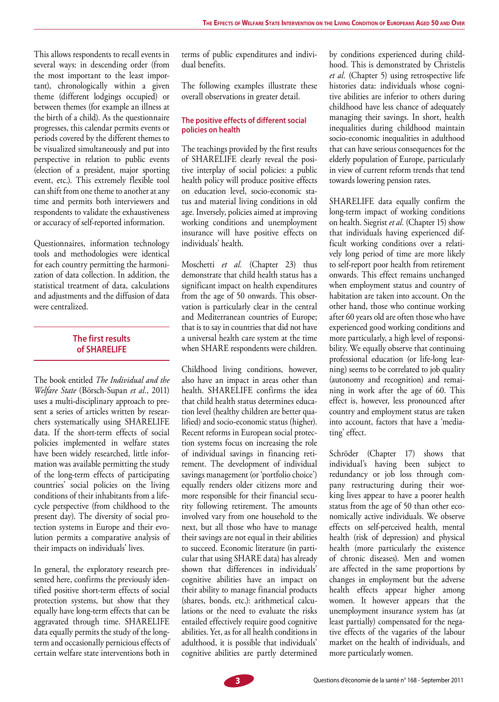This allows respondents to recall events in several ways: in descending order (from the most important to the least important), chronologically within a given theme (different lodgings occupied) or between themes (for example an illness at the birth of a child). As the questionnaire progresses, this calendar permits events or periods covered by the different themes to be visualized simultaneously and put into perspective in relation to public events (election of a president, major sporting event, etc.). This extremely flexible tool can shift from one theme to another at any time and permits both interviewers and respondents to validate the exhaustiveness or accuracy of self-reported information.

Questionnaires, information technology tools and methodologies were identical for each country permitting the harmonization of data collection. In addition, the statistical treatment of data, calculations and adjustments and the diffusion of data were centralized.

## **The first results of SHARELIFE**

The book entitled *The Individual and the Welfare State* (Börsch-Supan *et al.*, 2011) uses a multi-disciplinary approach to present a series of articles written by researchers systematically using SHARELIFE data. If the short-term effects of social policies implemented in welfare states have been widely researched, little information was available permitting the study of the long-term effects of participating countries' social policies on the living conditions of their inhabitants from a lifecycle perspective (from childhood to the present day). The diversity of social protection systems in Europe and their evolution permits a comparative analysis of their impacts on individuals' lives.

In general, the exploratory research presented here, confirms the previously identified positive short-term effects of social protection systems, but show that they equally have long-term effects that can be aggravated through time. SHARELIFE data equally permits the study of the longterm and occasionally pernicious effects of certain welfare state interventions both in

terms of public expenditures and individual benefits.

The following examples illustrate these overall observations in greater detail.

### **The positive effects of different social policies on health**

The teachings provided by the first results of SHARELIFE clearly reveal the positive interplay of social policies: a public health policy will produce positive effects on education level, socio-economic status and material living conditions in old age. Inversely, policies aimed at improving working conditions and unemployment insurance will have positive effects on individuals' health.

Moschetti *et al.* (Chapter 23) thus demonstrate that child health status has a significant impact on health expenditures from the age of 50 onwards. This observation is particularly clear in the central and Mediterranean countries of Europe; that is to say in countries that did not have a universal health care system at the time when SHARE respondents were children.

Childhood living conditions, however, also have an impact in areas other than health. SHARELIFE confirms the idea that child health status determines education level (healthy children are better qualified) and socio-economic status (higher). Recent reforms in European social protection systems focus on increasing the role of individual savings in financing retirement. The development of individual savings management (or 'portfolio choice') equally renders older citizens more and more responsible for their financial security following retirement. The amounts involved vary from one household to the next, but all those who have to manage their savings are not equal in their abilities to succeed. Economic literature (in particular that using SHARE data) has already shown that differences in individuals' cognitive abilities have an impact on their ability to manage financial products (shares, bonds, etc.): arithmetical calculations or the need to evaluate the risks entailed effectively require good cognitive abilities. Yet, as for all health conditions in adulthood, it is possible that individuals' cognitive abilities are partly determined

by conditions experienced during childhood. This is demonstrated by Christelis *et al.* (Chapter 5) using retrospective life histories data: individuals whose cognitive abilities are inferior to others during childhood have less chance of adequately managing their savings. In short, health inequalities during childhood maintain socio-economic inequalities in adulthood that can have serious consequences for the elderly population of Europe, particularly in view of current reform trends that tend towards lowering pension rates.

SHARELIFE data equally confirm the long-term impact of working conditions on health. Siegrist *et al.* (Chapter 15) show that individuals having experienced difficult working conditions over a relatively long period of time are more likely to self-report poor health from retirement onwards. This effect remains unchanged when employment status and country of habitation are taken into account. On the other hand, those who continue working after 60 years old are often those who have experienced good working conditions and more particularly, a high level of responsibility. We equally observe that continuing professional education (or life-long learning) seems to be correlated to job quality (autonomy and recognition) and remaining in work after the age of 60. This effect is, however, less pronounced after country and employment status are taken into account, factors that have a 'mediating' effect.

Schröder (Chapter 17) shows that individual's having been subject to redundancy or job loss through company restructuring during their working lives appear to have a poorer health status from the age of 50 than other economically active individuals. We observe effects on self-perceived health, mental health (risk of depression) and physical health (more particularly the existence of chronic diseases). Men and women are affected in the same proportions by changes in employment but the adverse health effects appear higher among women. It however appears that the unemployment insurance system has (at least partially) compensated for the negative effects of the vagaries of the labour market on the health of individuals, and more particularly women.